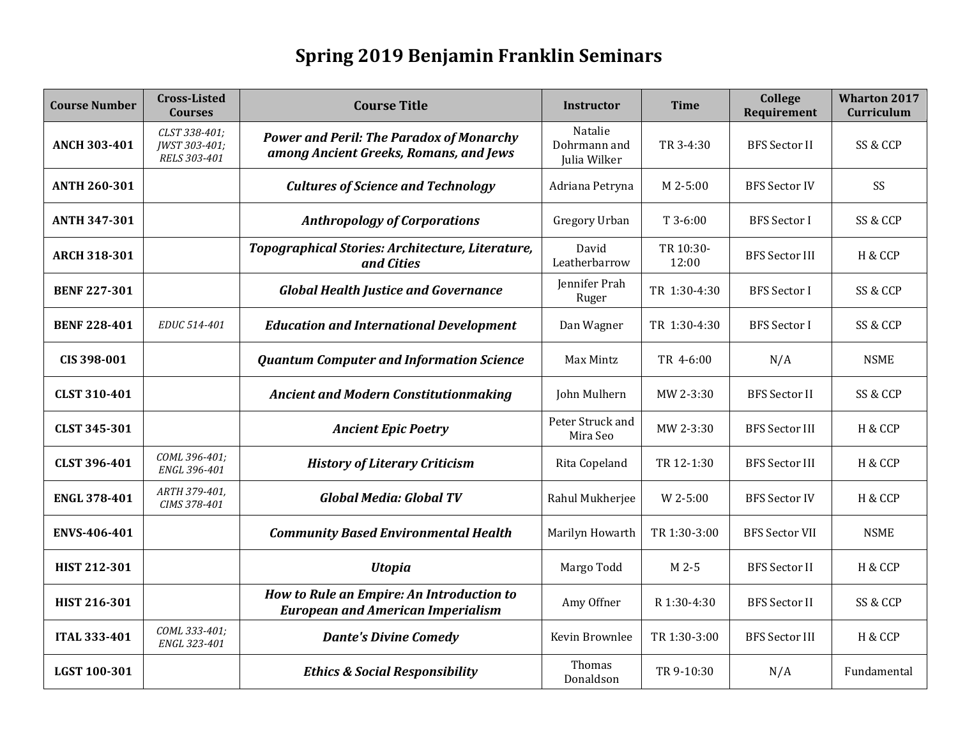## **Spring 2019 Benjamin Franklin Seminars**

| <b>Course Number</b> | <b>Cross-Listed</b><br><b>Courses</b>          | <b>Course Title</b>                                                                       | <b>Instructor</b>                       | <b>Time</b>        | College<br>Requirement | <b>Wharton 2017</b><br>Curriculum |
|----------------------|------------------------------------------------|-------------------------------------------------------------------------------------------|-----------------------------------------|--------------------|------------------------|-----------------------------------|
| <b>ANCH 303-401</b>  | CLST 338-401;<br>JWST 303-401;<br>RELS 303-401 | <b>Power and Peril: The Paradox of Monarchy</b><br>among Ancient Greeks, Romans, and Jews | Natalie<br>Dohrmann and<br>Julia Wilker | TR 3-4:30          | <b>BFS</b> Sector II   | SS & CCP                          |
| <b>ANTH 260-301</b>  |                                                | <b>Cultures of Science and Technology</b>                                                 | Adriana Petryna                         | M 2-5:00           | <b>BFS Sector IV</b>   | SS                                |
| <b>ANTH 347-301</b>  |                                                | <b>Anthropology of Corporations</b>                                                       | Gregory Urban                           | $T$ 3-6:00         | <b>BFS</b> Sector I    | SS & CCP                          |
| <b>ARCH 318-301</b>  |                                                | Topographical Stories: Architecture, Literature,<br>and Cities                            | David<br>Leatherbarrow                  | TR 10:30-<br>12:00 | <b>BFS Sector III</b>  | H & CCP                           |
| <b>BENF 227-301</b>  |                                                | <b>Global Health Justice and Governance</b>                                               | Jennifer Prah<br>Ruger                  | TR 1:30-4:30       | <b>BFS</b> Sector I    | SS & CCP                          |
| <b>BENF 228-401</b>  | EDUC 514-401                                   | <b>Education and International Development</b>                                            | Dan Wagner                              | TR 1:30-4:30       | <b>BFS</b> Sector I    | SS & CCP                          |
| CIS 398-001          |                                                | <b>Quantum Computer and Information Science</b>                                           | Max Mintz                               | TR 4-6:00          | N/A                    | <b>NSME</b>                       |
| CLST 310-401         |                                                | <b>Ancient and Modern Constitutionmaking</b>                                              | John Mulhern                            | MW 2-3:30          | <b>BFS</b> Sector II   | SS & CCP                          |
| <b>CLST 345-301</b>  |                                                | <b>Ancient Epic Poetry</b>                                                                | Peter Struck and<br>Mira Seo            | MW 2-3:30          | <b>BFS</b> Sector III  | H & CCP                           |
| <b>CLST 396-401</b>  | COML 396-401;<br>ENGL 396-401                  | <b>History of Literary Criticism</b>                                                      | Rita Copeland                           | TR 12-1:30         | <b>BFS Sector III</b>  | H & CCP                           |
| <b>ENGL 378-401</b>  | ARTH 379-401,<br>CIMS 378-401                  | <b>Global Media: Global TV</b>                                                            | Rahul Mukherjee                         | W 2-5:00           | <b>BFS Sector IV</b>   | H & CCP                           |
| ENVS-406-401         |                                                | <b>Community Based Environmental Health</b>                                               | Marilyn Howarth                         | TR 1:30-3:00       | <b>BFS Sector VII</b>  | <b>NSME</b>                       |
| HIST 212-301         |                                                | <b>Utopia</b>                                                                             | Margo Todd                              | M 2-5              | <b>BFS</b> Sector II   | H & CCP                           |
| HIST 216-301         |                                                | How to Rule an Empire: An Introduction to<br><b>European and American Imperialism</b>     | Amy Offner                              | R 1:30-4:30        | <b>BFS</b> Sector II   | SS & CCP                          |
| <b>ITAL 333-401</b>  | COML 333-401:<br>ENGL 323-401                  | <b>Dante's Divine Comedy</b>                                                              | Kevin Brownlee                          | TR 1:30-3:00       | <b>BFS</b> Sector III  | H & CCP                           |
| LGST 100-301         |                                                | <b>Ethics &amp; Social Responsibility</b>                                                 | Thomas<br>Donaldson                     | TR 9-10:30         | N/A                    | Fundamental                       |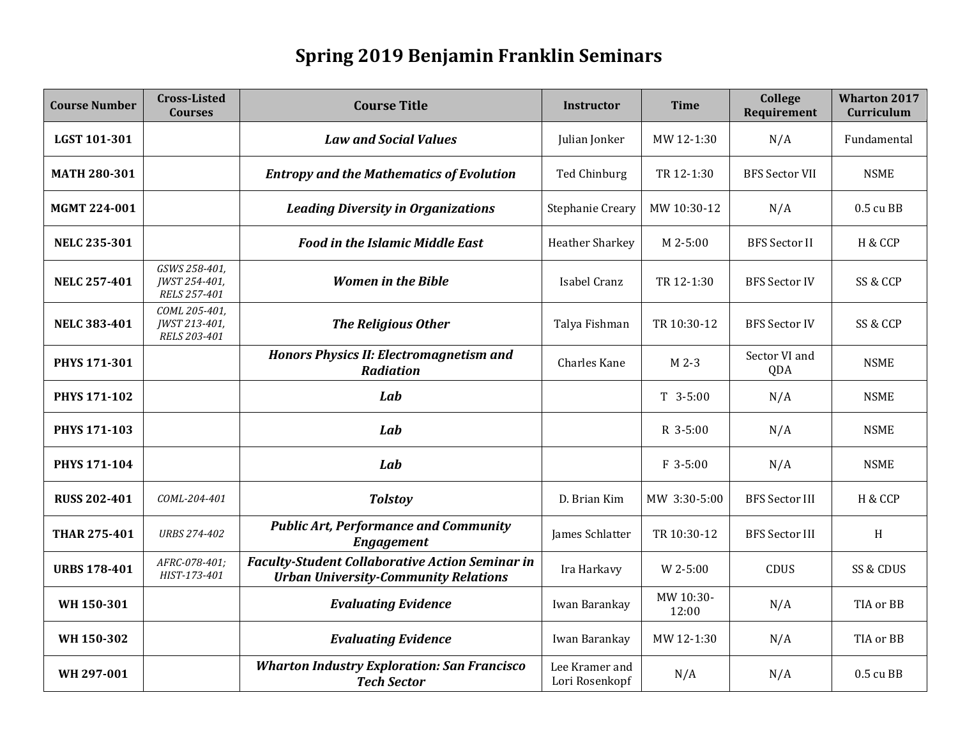## **Spring 2019 Benjamin Franklin Seminars**

| <b>Course Number</b> | <b>Cross-Listed</b><br><b>Courses</b>          | <b>Course Title</b>                                                                                   | <b>Instructor</b>                | <b>Time</b>        | College<br>Requirement | <b>Wharton 2017</b><br>Curriculum |
|----------------------|------------------------------------------------|-------------------------------------------------------------------------------------------------------|----------------------------------|--------------------|------------------------|-----------------------------------|
| LGST 101-301         |                                                | <b>Law and Social Values</b>                                                                          | Julian Jonker                    | MW 12-1:30         | N/A                    | Fundamental                       |
| <b>MATH 280-301</b>  |                                                | <b>Entropy and the Mathematics of Evolution</b>                                                       | Ted Chinburg                     | TR 12-1:30         | <b>BFS Sector VII</b>  | <b>NSME</b>                       |
| <b>MGMT 224-001</b>  |                                                | <b>Leading Diversity in Organizations</b>                                                             | Stephanie Creary                 | MW 10:30-12        | N/A                    | 0.5 cu BB                         |
| <b>NELC 235-301</b>  |                                                | <b>Food in the Islamic Middle East</b>                                                                | <b>Heather Sharkey</b>           | M 2-5:00           | <b>BFS</b> Sector II   | H & CCP                           |
| <b>NELC 257-401</b>  | GSWS 258-401,<br>JWST 254-401,<br>RELS 257-401 | <b>Women in the Bible</b>                                                                             | Isabel Cranz                     | TR 12-1:30         | <b>BFS Sector IV</b>   | SS & CCP                          |
| <b>NELC 383-401</b>  | COML 205-401,<br>JWST 213-401,<br>RELS 203-401 | <b>The Religious Other</b>                                                                            | Talya Fishman                    | TR 10:30-12        | <b>BFS Sector IV</b>   | SS & CCP                          |
| PHYS 171-301         |                                                | <b>Honors Physics II: Electromagnetism and</b><br><b>Radiation</b>                                    | Charles Kane                     | M 2-3              | Sector VI and<br>QDA   | <b>NSME</b>                       |
| <b>PHYS 171-102</b>  |                                                | Lab                                                                                                   |                                  | $T$ 3-5:00         | N/A                    | <b>NSME</b>                       |
| <b>PHYS 171-103</b>  |                                                | Lab                                                                                                   |                                  | R 3-5:00           | N/A                    | <b>NSME</b>                       |
| <b>PHYS 171-104</b>  |                                                | Lab                                                                                                   |                                  | F 3-5:00           | N/A                    | <b>NSME</b>                       |
| <b>RUSS 202-401</b>  | COML-204-401                                   | <b>Tolstoy</b>                                                                                        | D. Brian Kim                     | MW 3:30-5:00       | <b>BFS Sector III</b>  | H & CCP                           |
| <b>THAR 275-401</b>  | <b>URBS 274-402</b>                            | <b>Public Art, Performance and Community</b><br><b>Engagement</b>                                     | James Schlatter                  | TR 10:30-12        | <b>BFS</b> Sector III  | H                                 |
| <b>URBS 178-401</b>  | AFRC-078-401;<br>HIST-173-401                  | <b>Faculty-Student Collaborative Action Seminar in</b><br><b>Urban University-Community Relations</b> | Ira Harkavy                      | W 2-5:00           | <b>CDUS</b>            | SS & CDUS                         |
| WH 150-301           |                                                | <b>Evaluating Evidence</b>                                                                            | Iwan Barankay                    | MW 10:30-<br>12:00 | N/A                    | TIA or BB                         |
| WH 150-302           |                                                | <b>Evaluating Evidence</b>                                                                            | Iwan Barankay                    | MW 12-1:30         | N/A                    | TIA or BB                         |
| WH 297-001           |                                                | <b>Wharton Industry Exploration: San Francisco</b><br><b>Tech Sector</b>                              | Lee Kramer and<br>Lori Rosenkopf | N/A                | N/A                    | 0.5 cu BB                         |